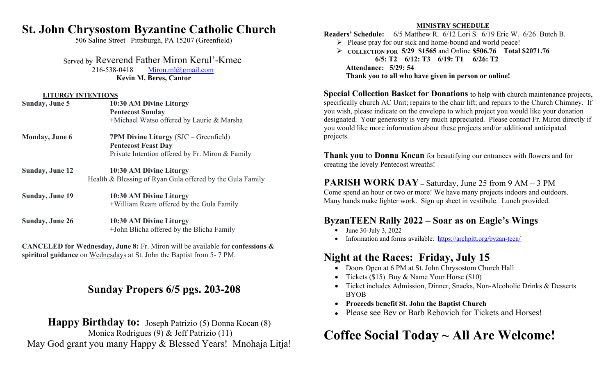# **St. John Chrysostom Byzantine Catholic Church**

506 Saline Street Pittsburgh, PA 15207 (Greenfield)

Served by Reverend Father Miron Kerul'-Kmec

216-538-0418 Miron.ml@gmail.com **Kevin M. Beres, Cantor**

#### **LITURGY INTENTIONS**

| Sunday, June 5         | 10:30 AM Divine Liturgy                                   | spe             |
|------------------------|-----------------------------------------------------------|-----------------|
|                        | <b>Pentecost Sunday</b>                                   | you             |
|                        | +Michael Watso offered by Laurie & Marsha                 | des             |
|                        |                                                           | you             |
| <b>Monday, June 6</b>  | <b>7PM Divine Liturgy (SJC – Greenfield)</b>              | pro             |
|                        | <b>Pentecost Feast Day</b>                                |                 |
|                        | Private Intention offered by Fr. Miron & Family           | Th              |
|                        |                                                           | crea            |
| <b>Sunday, June 12</b> | 10:30 AM Divine Liturgy                                   |                 |
|                        | Health & Blessing of Ryan Gula offered by the Gula Family | $\mathbf{P}$    |
|                        |                                                           |                 |
| <b>Sunday, June 19</b> | 10:30 AM Divine Liturgy                                   | Co <sub>1</sub> |
|                        | +William Ream offered by the Gula Family                  | Ma              |
| <b>Sunday, June 26</b> | 10:30 AM Divine Liturgy                                   | By              |
|                        | +John Blicha offered by the Blicha Family                 |                 |

**CANCELED for Wednesday, June 8:** Fr. Miron will be available for **confessions & spiritual guidance** on Wednesdays at St. John the Baptist from 5- 7 PM.

# **Sunday Propers 6/5 pgs. 203-208**

## Happy Birthday to: Joseph Patrizio (5) Donna Kocan (8) Monica Rodrigues (9) & Jeff Patrizio (11) May God grant you many Happy & Blessed Years! Mnohaja Litja!

#### **MINISTRY SCHEDULE**

**Readers' Schedule:** 6/5 Matthew R. 6/12 Lori S. 6/19 Eric W. 6/26 Butch B.  $\triangleright$  Please pray for our sick and home-bound and world peace! **COLLECTION FOR 5/29 \$1565** and Online **\$506.76 Total \$2071.76 6/5: T2 6/12: T3 6/19: T1 6/26: T2 Attendance: 5/29: 54 Thank you to all who have given in person or online!**

**Special Collection Basket for Donations** to help with church maintenance projects, specifically church AC Unit; repairs to the chair lift; and repairs to the Church Chimney. If you wish, please indicate on the envelope to which project you would like your donation designated. Your generosity is very much appreciated. Please contact Fr. Miron directly if you would like more information about these projects and/or additional anticipated projects.

**Thank you** to **Donna Kocan** for beautifying our entrances with flowers and for creating the lovely Pentecost wreaths!

### **PARISH WORK DAY** – Saturday, June 25 from 9 AM – 3 PM

Come spend an hour or two or more! We have many projects indoors and outdoors. Many hands make lighter work. Sign up sheet in vestibule. Lunch provided.

## **ByzanTEEN Rally 2022 – Soar as on Eagle's Wings**

- $\bullet$  June 30-July 3, 2022
- Information and forms available: https://archpitt.org/byzan-teen/

# **Night at the Races: Friday, July 15**

- Doors Open at 6 PM at St. John Chrysostom Church Hall
- Tickets (\$15) Buy & Name Your Horse (\$10)
- Ticket includes Admission, Dinner, Snacks, Non-Alcoholic Drinks & Desserts BYOB
- **Proceeds benefit St. John the Baptist Church**
- Please see Bey or Barb Rebovich for Tickets and Horses!

# **Coffee Social Today ~ All Are Welcome!**